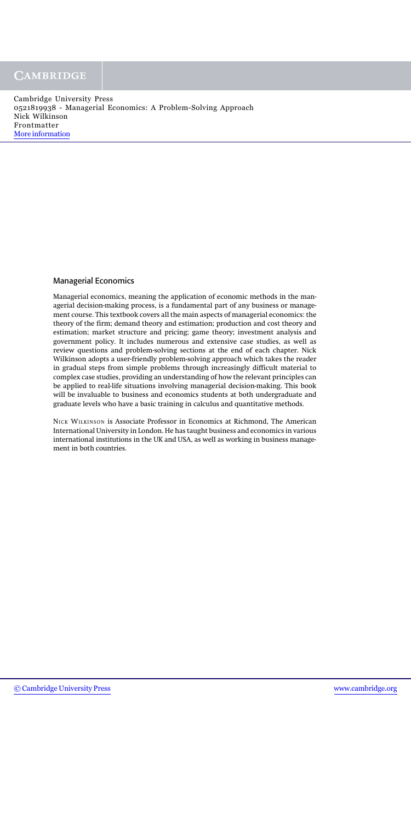#### Managerial Economics

Managerial economics, meaning the application of economic methods in the managerial decision-making process, is a fundamental part of any business or management course. This textbook covers all the main aspects of managerial economics: the theory of the firm; demand theory and estimation; production and cost theory and estimation; market structure and pricing; game theory; investment analysis and government policy. It includes numerous and extensive case studies, as well as review questions and problem-solving sections at the end of each chapter. Nick Wilkinson adopts a user-friendly problem-solving approach which takes the reader in gradual steps from simple problems through increasingly difficult material to complex case studies, providing an understanding of how the relevant principles can be applied to real-life situations involving managerial decision-making. This book will be invaluable to business and economics students at both undergraduate and graduate levels who have a basic training in calculus and quantitative methods.

NICK WILKINSON is Associate Professor in Economics at Richmond, The American International University in London. He has taught business and economics in various international institutions in the UK and USA, as well as working in business management in both countries.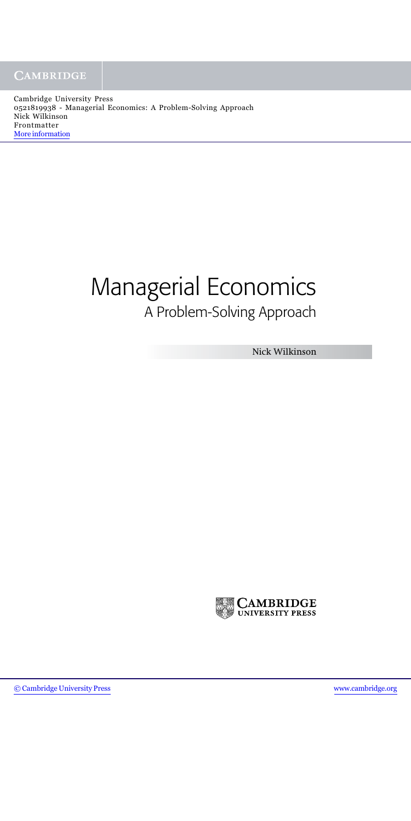# Managerial Economics A Problem-Solving Approach

Nick Wilkinson

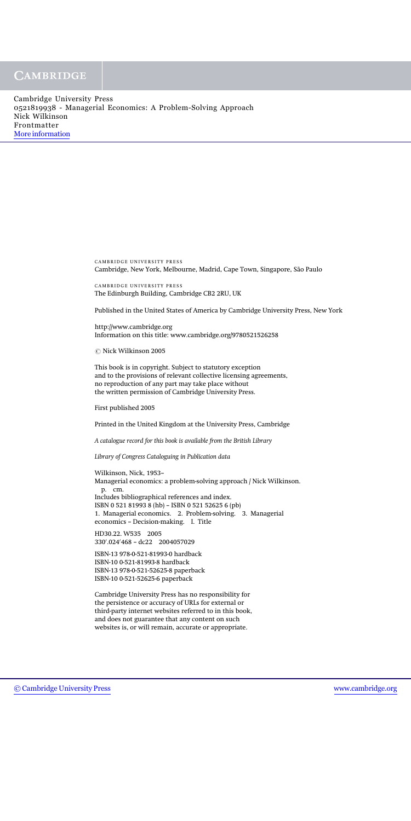CAMBRIDGE UNIVERSITY PRESS Cambridge, New York, Melbourne, Madrid, Cape Town, Singapore, São Paulo

CAMBRIDGE UNIVERSITY PRESS The Edinburgh Building, Cambridge CB2 2RU, UK

Published in the United States of America by Cambridge University Press, New York

http://www.cambridge.org Information on this title: www.cambridge.org/9780521526258

 $\oslash$  Nick Wilkinson 2005

This book is in copyright. Subject to statutory exception and to the provisions of relevant collective licensing agreements, no reproduction of any part may take place without the written permission of Cambridge University Press.

First published 2005

Printed in the United Kingdom at the University Press, Cambridge

A catalogue record for this book is available from the British Library

Library of Congress Cataloguing in Publication data

Wilkinson, Nick, 1953– Managerial economics: a problem-solving approach / Nick Wilkinson. p. cm. Includes bibliographical references and index. ISBN 0 521 81993 8 (hb) – ISBN 0 521 52625 6 (pb) 1. Managerial economics. 2. Problem-solving. 3. Managerial economics – Decision-making. I. Title

HD30.22. W535 2005 330'.024'468 - dc22 2004057029

ISBN-13 978-0-521-81993-0 hardback ISBN-10 0-521-81993-8 hardback ISBN-13 978-0-521-52625-8 paperback ISBN-10 0-521-52625-6 paperback

Cambridge University Press has no responsibility for the persistence or accuracy of URLs for external or third-party internet websites referred to in this book, and does not guarantee that any content on such websites is, or will remain, accurate or appropriate.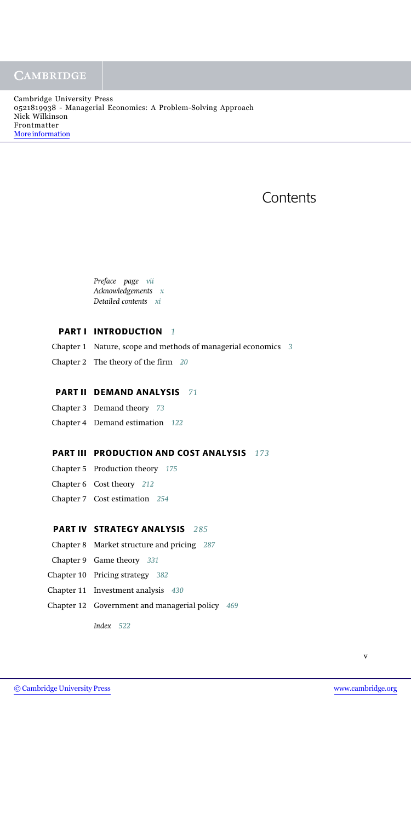# **Contents**

Preface page vii Acknowledgements x Detailed contents xi

### PART I INTRODUCTION 1

- Chapter 1 Nature, scope and methods of managerial economics 3
- Chapter 2 The theory of the firm 20

#### PART II DEMAND ANALYSIS 71

- Chapter 3 Demand theory 73
- Chapter 4 Demand estimation 122

#### PART III PRODUCTION AND COST ANALYSIS 173

- Chapter 5 Production theory 175
- Chapter 6 Cost theory 212
- Chapter 7 Cost estimation 254

#### PART IV STRATEGY ANALYSIS 285

Chapter 8 Market structure and pricing 287

- Chapter 9 Game theory 331
- Chapter 10 Pricing strategy 382
- Chapter 11 Investment analysis 430
- Chapter 12 Government and managerial policy 469

Index 522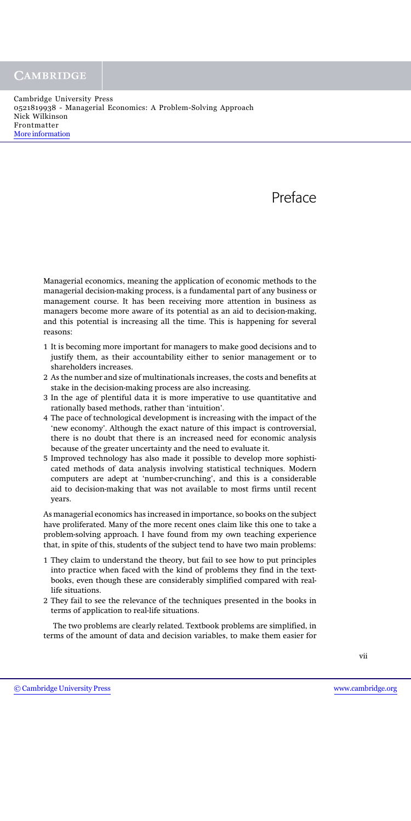# Preface

Managerial economics, meaning the application of economic methods to the managerial decision-making process, is a fundamental part of any business or management course. It has been receiving more attention in business as managers become more aware of its potential as an aid to decision-making, and this potential is increasing all the time. This is happening for several reasons:

- 1 It is becoming more important for managers to make good decisions and to justify them, as their accountability either to senior management or to shareholders increases.
- 2 As the number and size of multinationals increases, the costs and benefits at stake in the decision-making process are also increasing.
- 3 In the age of plentiful data it is more imperative to use quantitative and rationally based methods, rather than 'intuition'.
- 4 The pace of technological development is increasing with the impact of the 'new economy'. Although the exact nature of this impact is controversial, there is no doubt that there is an increased need for economic analysis because of the greater uncertainty and the need to evaluate it.
- 5 Improved technology has also made it possible to develop more sophisticated methods of data analysis involving statistical techniques. Modern computers are adept at 'number-crunching', and this is a considerable aid to decision-making that was not available to most firms until recent years.

As managerial economics has increased in importance, so books on the subject have proliferated. Many of the more recent ones claim like this one to take a problem-solving approach. I have found from my own teaching experience that, in spite of this, students of the subject tend to have two main problems:

- 1 They claim to understand the theory, but fail to see how to put principles into practice when faced with the kind of problems they find in the textbooks, even though these are considerably simplified compared with reallife situations.
- 2 They fail to see the relevance of the techniques presented in the books in terms of application to real-life situations.

The two problems are clearly related. Textbook problems are simplified, in terms of the amount of data and decision variables, to make them easier for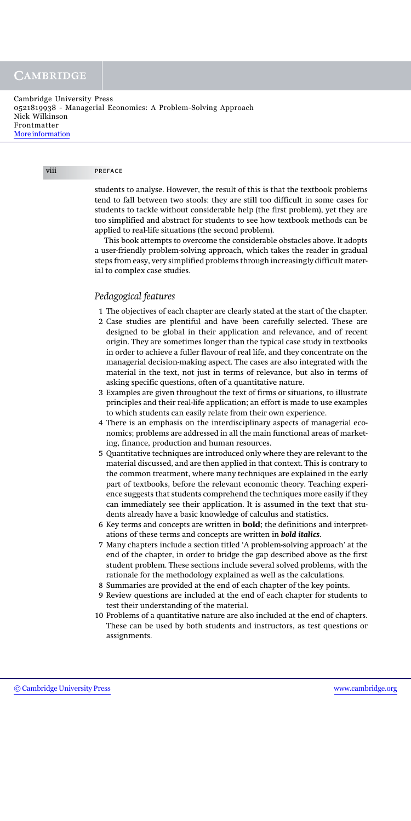#### viii PREFACE

students to analyse. However, the result of this is that the textbook problems tend to fall between two stools: they are still too difficult in some cases for students to tackle without considerable help (the first problem), yet they are too simplified and abstract for students to see how textbook methods can be applied to real-life situations (the second problem).

This book attempts to overcome the considerable obstacles above. It adopts a user-friendly problem-solving approach, which takes the reader in gradual steps from easy, very simplified problems through increasingly difficult material to complex case studies.

#### Pedagogical features

- 1 The objectives of each chapter are clearly stated at the start of the chapter.
- 2 Case studies are plentiful and have been carefully selected. These are designed to be global in their application and relevance, and of recent origin. They are sometimes longer than the typical case study in textbooks in order to achieve a fuller flavour of real life, and they concentrate on the managerial decision-making aspect. The cases are also integrated with the material in the text, not just in terms of relevance, but also in terms of asking specific questions, often of a quantitative nature.
- 3 Examples are given throughout the text of firms or situations, to illustrate principles and their real-life application; an effort is made to use examples to which students can easily relate from their own experience.
- 4 There is an emphasis on the interdisciplinary aspects of managerial economics; problems are addressed in all the main functional areas of marketing, finance, production and human resources.
- 5 Quantitative techniques are introduced only where they are relevant to the material discussed, and are then applied in that context. This is contrary to the common treatment, where many techniques are explained in the early part of textbooks, before the relevant economic theory. Teaching experience suggests that students comprehend the techniques more easily if they can immediately see their application. It is assumed in the text that students already have a basic knowledge of calculus and statistics.
- 6 Key terms and concepts are written in bold; the definitions and interpretations of these terms and concepts are written in bold italics.
- 7 Many chapters include a section titled 'A problem-solving approach' at the end of the chapter, in order to bridge the gap described above as the first student problem. These sections include several solved problems, with the rationale for the methodology explained as well as the calculations.
- 8 Summaries are provided at the end of each chapter of the key points.
- 9 Review questions are included at the end of each chapter for students to test their understanding of the material.
- 10 Problems of a quantitative nature are also included at the end of chapters. These can be used by both students and instructors, as test questions or assignments.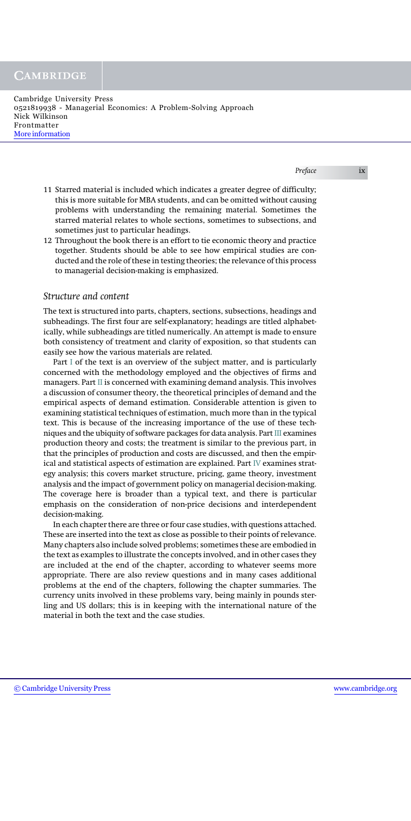Preface ix

- 11 Starred material is included which indicates a greater degree of difficulty; this is more suitable for MBA students, and can be omitted without causing problems with understanding the remaining material. Sometimes the starred material relates to whole sections, sometimes to subsections, and sometimes just to particular headings.
- 12 Throughout the book there is an effort to tie economic theory and practice together. Students should be able to see how empirical studies are conducted and the role of these in testing theories; the relevance of this process to managerial decision-making is emphasized.

#### Structure and content

The text is structured into parts, chapters, sections, subsections, headings and subheadings. The first four are self-explanatory; headings are titled alphabetically, while subheadings are titled numerically. An attempt is made to ensure both consistency of treatment and clarity of exposition, so that students can easily see how the various materials are related.

Part I of the text is an overview of the subject matter, and is particularly concerned with the methodology employed and the objectives of firms and managers. Part II is concerned with examining demand analysis. This involves a discussion of consumer theory, the theoretical principles of demand and the empirical aspects of demand estimation. Considerable attention is given to examining statistical techniques of estimation, much more than in the typical text. This is because of the increasing importance of the use of these techniques and the ubiquity of software packages for data analysis. Part III examines production theory and costs; the treatment is similar to the previous part, in that the principles of production and costs are discussed, and then the empirical and statistical aspects of estimation are explained. Part  $\mathbb N$  examines strategy analysis; this covers market structure, pricing, game theory, investment analysis and the impact of government policy on managerial decision-making. The coverage here is broader than a typical text, and there is particular emphasis on the consideration of non-price decisions and interdependent decision-making.

In each chapter there are three or four case studies, with questions attached. These are inserted into the text as close as possible to their points of relevance. Many chapters also include solved problems; sometimes these are embodied in the text as examples to illustrate the concepts involved, and in other cases they are included at the end of the chapter, according to whatever seems more appropriate. There are also review questions and in many cases additional problems at the end of the chapters, following the chapter summaries. The currency units involved in these problems vary, being mainly in pounds sterling and US dollars; this is in keeping with the international nature of the material in both the text and the case studies.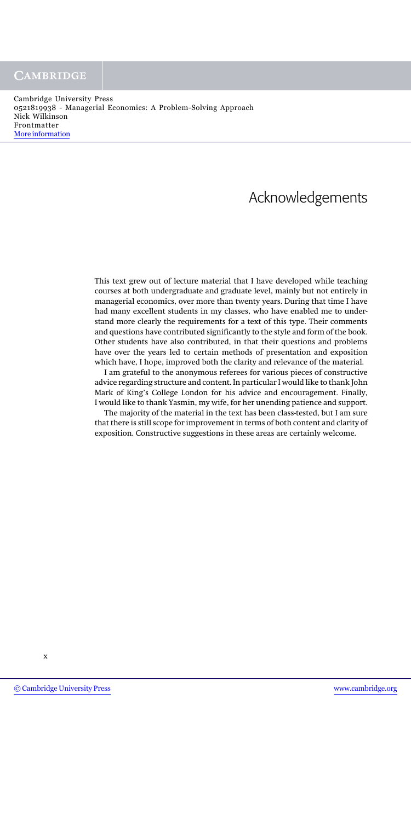# Acknowledgements

This text grew out of lecture material that I have developed while teaching courses at both undergraduate and graduate level, mainly but not entirely in managerial economics, over more than twenty years. During that time I have had many excellent students in my classes, who have enabled me to understand more clearly the requirements for a text of this type. Their comments and questions have contributed significantly to the style and form of the book. Other students have also contributed, in that their questions and problems have over the years led to certain methods of presentation and exposition which have, I hope, improved both the clarity and relevance of the material.

I am grateful to the anonymous referees for various pieces of constructive advice regarding structure and content. In particular I would like to thank John Mark of King's College London for his advice and encouragement. Finally, I would like to thank Yasmin, my wife, for her unending patience and support.

The majority of the material in the text has been class-tested, but I am sure that there is still scope for improvement in terms of both content and clarity of exposition. Constructive suggestions in these areas are certainly welcome.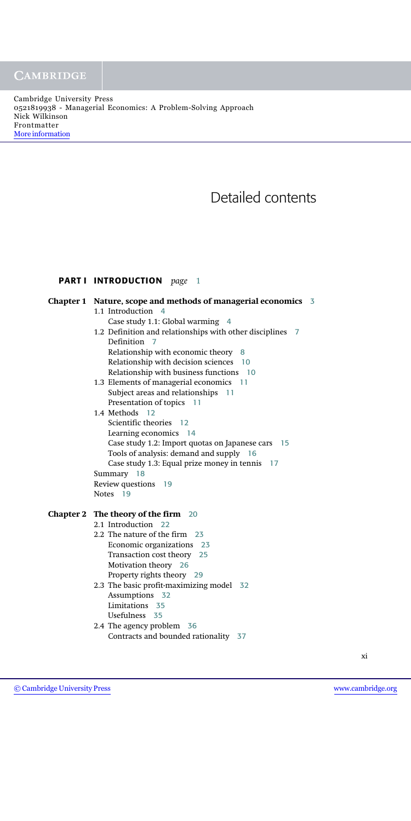# Detailed contents

#### PART I INTRODUCTION page 1

| Chapter 1 Nature, scope and methods of managerial economics $\frac{3}{5}$ |
|---------------------------------------------------------------------------|
| 1.1 Introduction 4                                                        |
| Case study 1.1: Global warming 4                                          |
| 1.2 Definition and relationships with other disciplines<br>7              |
| Definition 7                                                              |
| Relationship with economic theory 8                                       |
| Relationship with decision sciences 10                                    |
| Relationship with business functions 10                                   |
| 1.3 Elements of managerial economics 11                                   |
| Subject areas and relationships 11                                        |
| Presentation of topics 11                                                 |
| 1.4 Methods 12                                                            |
| Scientific theories 12                                                    |
| Learning economics 14                                                     |
| Case study 1.2: Import quotas on Japanese cars 15                         |
| Tools of analysis: demand and supply 16                                   |
| Case study 1.3: Equal prize money in tennis 17                            |
| Summary 18                                                                |
| Review questions 19                                                       |
| Notes 19                                                                  |
| <b>Chapter 2</b> The theory of the firm 20                                |
| 2.1 Introduction 22                                                       |
| 2.2 The nature of the firm 23                                             |
| Economic organizations 23                                                 |
| Transaction cost theory 25                                                |
| Motivation theory 26                                                      |
| Property rights theory 29                                                 |
| 2.3 The basic profit-maximizing model<br>32                               |
| Assumptions 32                                                            |
|                                                                           |

- Limitations 35 Usefulness 35
- 2.4 The agency problem 36 Contracts and bounded rationality 37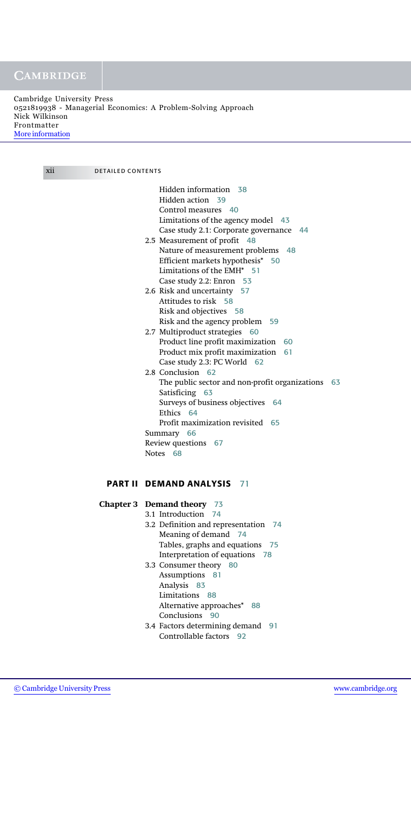Hidden information 38 Hidden action 39 Control measures 40 Limitations of the agency model 43 Case study 2.1: Corporate governance 44 2.5 Measurement of profit 48 Nature of measurement problems 48 Efficient markets hypothesis\* 50 Limitations of the EMH\* 51 Case study 2.2: Enron 53 2.6 Risk and uncertainty 57 Attitudes to risk 58 Risk and objectives 58 Risk and the agency problem 59 2.7 Multiproduct strategies 60 Product line profit maximization 60 Product mix profit maximization 61 Case study 2.3: PC World 62 2.8 Conclusion 62 The public sector and non-profit organizations 63 Satisficing 63 Surveys of business objectives 64 Ethics 64 Profit maximization revisited 65 Summary 66 Review questions 67 Notes 68 PART II DEMAND ANALYSIS 71 Chapter 3 Demand theory 73 3.1 Introduction 74 3.2 Definition and representation 74 Meaning of demand 74 Tables, graphs and equations 75 Interpretation of equations 78 3.3 Consumer theory 80 Assumptions 81 Analysis 83 Limitations 88 Alternative approaches\* 88 Conclusions 90 xii DETAILED CONTENTS

3.4 Factors determining demand 91 Controllable factors 92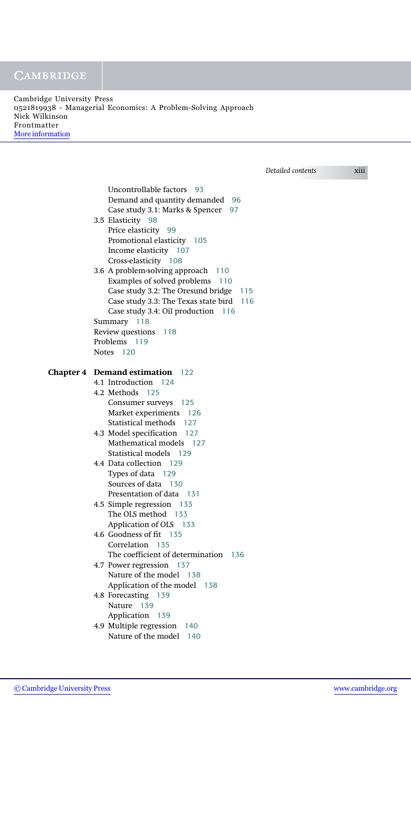## **CAMBRIDGE**

Cambridge University Press 0521819938 - Managerial Economics: A Problem-Solving Approach Nick Wilkinson Frontmatter [More information](http://www.cambridge.org/0521819938)

Detailed contents xiii

| Case study 3.4: Oil production<br>116<br>Summary 118<br>Review questions 118<br>Problems 119<br>Notes 120<br><b>Demand estimation</b> 122<br><b>Chapter 4</b><br>4.1 Introduction 124<br>4.2 Methods 125<br>Consumer surveys<br>- 125<br>Market experiments 126<br>Statistical methods<br>127<br>4.3 Model specification 127<br>Mathematical models 127<br>Statistical models 129<br>4.4 Data collection 129<br>Types of data 129<br>Sources of data 130<br>Presentation of data 131<br>4.5 Simple regression 133<br>The OLS method 133<br>Application of OLS 133<br>4.6 Goodness of fit 135<br>Correlation<br>135<br>The coefficient of determination<br>136<br>4.7 Power regression 137<br>Nature of the model<br>- 138<br>Application of the model<br>-138<br>4.8 Forecasting 139<br>Nature 139<br>Application<br>139<br>4.9 Multiple regression<br>140<br>Nature of the model<br>140 | Uncontrollable factors 93<br>Demand and quantity demanded<br>96<br>Case study 3.1: Marks & Spencer<br>97<br>3.5 Elasticity 98<br>Price elasticity 99<br>Promotional elasticity 105<br>Income elasticity 107<br>Cross-elasticity 108<br>3.6 A problem-solving approach<br>110<br>Examples of solved problems<br>110<br>Case study 3.2: The Oresund bridge<br>115 |
|------------------------------------------------------------------------------------------------------------------------------------------------------------------------------------------------------------------------------------------------------------------------------------------------------------------------------------------------------------------------------------------------------------------------------------------------------------------------------------------------------------------------------------------------------------------------------------------------------------------------------------------------------------------------------------------------------------------------------------------------------------------------------------------------------------------------------------------------------------------------------------------|-----------------------------------------------------------------------------------------------------------------------------------------------------------------------------------------------------------------------------------------------------------------------------------------------------------------------------------------------------------------|
|                                                                                                                                                                                                                                                                                                                                                                                                                                                                                                                                                                                                                                                                                                                                                                                                                                                                                          | Case study 3.3: The Texas state bird<br>116                                                                                                                                                                                                                                                                                                                     |
|                                                                                                                                                                                                                                                                                                                                                                                                                                                                                                                                                                                                                                                                                                                                                                                                                                                                                          |                                                                                                                                                                                                                                                                                                                                                                 |
|                                                                                                                                                                                                                                                                                                                                                                                                                                                                                                                                                                                                                                                                                                                                                                                                                                                                                          |                                                                                                                                                                                                                                                                                                                                                                 |
|                                                                                                                                                                                                                                                                                                                                                                                                                                                                                                                                                                                                                                                                                                                                                                                                                                                                                          |                                                                                                                                                                                                                                                                                                                                                                 |
|                                                                                                                                                                                                                                                                                                                                                                                                                                                                                                                                                                                                                                                                                                                                                                                                                                                                                          |                                                                                                                                                                                                                                                                                                                                                                 |
|                                                                                                                                                                                                                                                                                                                                                                                                                                                                                                                                                                                                                                                                                                                                                                                                                                                                                          |                                                                                                                                                                                                                                                                                                                                                                 |
|                                                                                                                                                                                                                                                                                                                                                                                                                                                                                                                                                                                                                                                                                                                                                                                                                                                                                          |                                                                                                                                                                                                                                                                                                                                                                 |
|                                                                                                                                                                                                                                                                                                                                                                                                                                                                                                                                                                                                                                                                                                                                                                                                                                                                                          |                                                                                                                                                                                                                                                                                                                                                                 |
|                                                                                                                                                                                                                                                                                                                                                                                                                                                                                                                                                                                                                                                                                                                                                                                                                                                                                          |                                                                                                                                                                                                                                                                                                                                                                 |
|                                                                                                                                                                                                                                                                                                                                                                                                                                                                                                                                                                                                                                                                                                                                                                                                                                                                                          |                                                                                                                                                                                                                                                                                                                                                                 |
|                                                                                                                                                                                                                                                                                                                                                                                                                                                                                                                                                                                                                                                                                                                                                                                                                                                                                          |                                                                                                                                                                                                                                                                                                                                                                 |
|                                                                                                                                                                                                                                                                                                                                                                                                                                                                                                                                                                                                                                                                                                                                                                                                                                                                                          |                                                                                                                                                                                                                                                                                                                                                                 |
|                                                                                                                                                                                                                                                                                                                                                                                                                                                                                                                                                                                                                                                                                                                                                                                                                                                                                          |                                                                                                                                                                                                                                                                                                                                                                 |
|                                                                                                                                                                                                                                                                                                                                                                                                                                                                                                                                                                                                                                                                                                                                                                                                                                                                                          |                                                                                                                                                                                                                                                                                                                                                                 |
|                                                                                                                                                                                                                                                                                                                                                                                                                                                                                                                                                                                                                                                                                                                                                                                                                                                                                          |                                                                                                                                                                                                                                                                                                                                                                 |
|                                                                                                                                                                                                                                                                                                                                                                                                                                                                                                                                                                                                                                                                                                                                                                                                                                                                                          |                                                                                                                                                                                                                                                                                                                                                                 |
|                                                                                                                                                                                                                                                                                                                                                                                                                                                                                                                                                                                                                                                                                                                                                                                                                                                                                          |                                                                                                                                                                                                                                                                                                                                                                 |
|                                                                                                                                                                                                                                                                                                                                                                                                                                                                                                                                                                                                                                                                                                                                                                                                                                                                                          |                                                                                                                                                                                                                                                                                                                                                                 |
|                                                                                                                                                                                                                                                                                                                                                                                                                                                                                                                                                                                                                                                                                                                                                                                                                                                                                          |                                                                                                                                                                                                                                                                                                                                                                 |
|                                                                                                                                                                                                                                                                                                                                                                                                                                                                                                                                                                                                                                                                                                                                                                                                                                                                                          |                                                                                                                                                                                                                                                                                                                                                                 |
|                                                                                                                                                                                                                                                                                                                                                                                                                                                                                                                                                                                                                                                                                                                                                                                                                                                                                          |                                                                                                                                                                                                                                                                                                                                                                 |
|                                                                                                                                                                                                                                                                                                                                                                                                                                                                                                                                                                                                                                                                                                                                                                                                                                                                                          |                                                                                                                                                                                                                                                                                                                                                                 |
|                                                                                                                                                                                                                                                                                                                                                                                                                                                                                                                                                                                                                                                                                                                                                                                                                                                                                          |                                                                                                                                                                                                                                                                                                                                                                 |
|                                                                                                                                                                                                                                                                                                                                                                                                                                                                                                                                                                                                                                                                                                                                                                                                                                                                                          |                                                                                                                                                                                                                                                                                                                                                                 |
|                                                                                                                                                                                                                                                                                                                                                                                                                                                                                                                                                                                                                                                                                                                                                                                                                                                                                          |                                                                                                                                                                                                                                                                                                                                                                 |
|                                                                                                                                                                                                                                                                                                                                                                                                                                                                                                                                                                                                                                                                                                                                                                                                                                                                                          |                                                                                                                                                                                                                                                                                                                                                                 |
|                                                                                                                                                                                                                                                                                                                                                                                                                                                                                                                                                                                                                                                                                                                                                                                                                                                                                          |                                                                                                                                                                                                                                                                                                                                                                 |
|                                                                                                                                                                                                                                                                                                                                                                                                                                                                                                                                                                                                                                                                                                                                                                                                                                                                                          |                                                                                                                                                                                                                                                                                                                                                                 |
|                                                                                                                                                                                                                                                                                                                                                                                                                                                                                                                                                                                                                                                                                                                                                                                                                                                                                          |                                                                                                                                                                                                                                                                                                                                                                 |
|                                                                                                                                                                                                                                                                                                                                                                                                                                                                                                                                                                                                                                                                                                                                                                                                                                                                                          |                                                                                                                                                                                                                                                                                                                                                                 |
|                                                                                                                                                                                                                                                                                                                                                                                                                                                                                                                                                                                                                                                                                                                                                                                                                                                                                          |                                                                                                                                                                                                                                                                                                                                                                 |
|                                                                                                                                                                                                                                                                                                                                                                                                                                                                                                                                                                                                                                                                                                                                                                                                                                                                                          |                                                                                                                                                                                                                                                                                                                                                                 |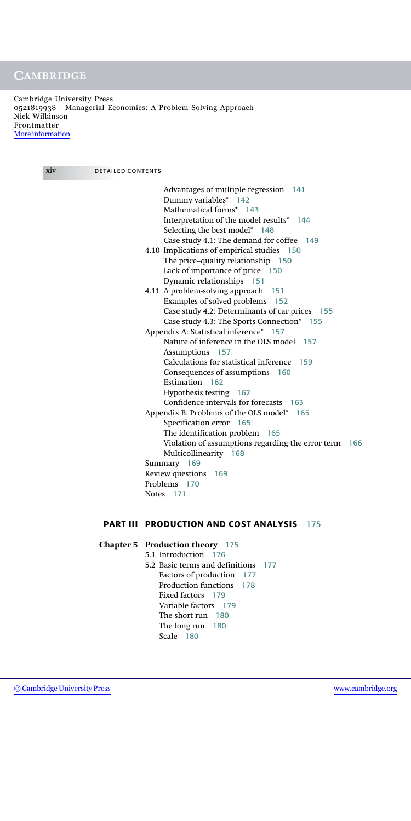xiv DETAILED CONTENTS

Advantages of multiple regression 141 Dummy variables\* 142 Mathematical forms\* 143 Interpretation of the model results\* 144 Selecting the best model\* 148 Case study 4.1: The demand for coffee 149 4.10 Implications of empirical studies 150 The price–quality relationship 150 Lack of importance of price 150 Dynamic relationships 151 4.11 A problem-solving approach 151 Examples of solved problems 152 Case study 4.2: Determinants of car prices 155 Case study 4.3: The Sports Connection\* 155 Appendix A: Statistical inference\* 157 Nature of inference in the OLS model 157 Assumptions 157 Calculations for statistical inference 159 Consequences of assumptions 160 Estimation 162 Hypothesis testing 162 Confidence intervals for forecasts 163 Appendix B: Problems of the OLS model\* 165 Specification error 165 The identification problem 165 Violation of assumptions regarding the error term 166 Multicollinearity 168 Summary 169 Review questions 169 Problems 170 Notes 171

#### PART III PRODUCTION AND COST ANALYSIS 175

### Chapter 5 Production theory 175 5.1 Introduction 176 5.2 Basic terms and definitions 177 Factors of production 177 Production functions 178 Fixed factors 179 Variable factors 179 The short run 180 The long run 180 Scale 180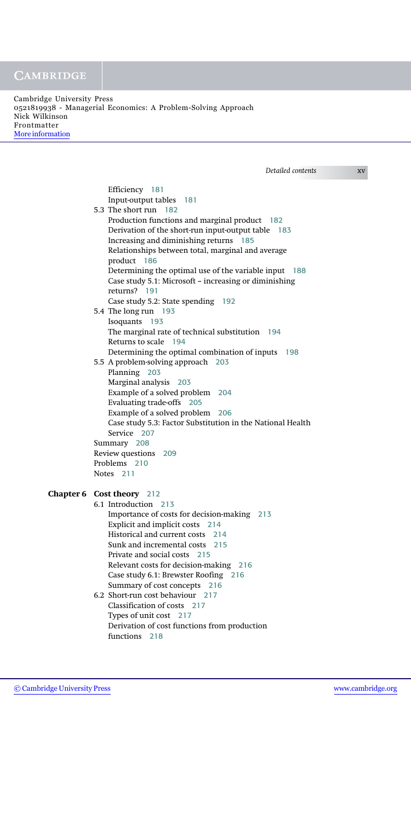Detailed contents xv

| Efficiency 181                                             |
|------------------------------------------------------------|
| Input-output tables 181                                    |
| 5.3 The short run 182                                      |
| Production functions and marginal product 182              |
| Derivation of the short-run input-output table<br>183      |
| Increasing and diminishing returns 185                     |
| Relationships between total, marginal and average          |
| product 186                                                |
| Determining the optimal use of the variable input<br>188   |
| Case study 5.1: Microsoft - increasing or diminishing      |
| returns? 191                                               |
| Case study 5.2: State spending<br>-192                     |
| 5.4 The long run 193                                       |
| Isoquants 193                                              |
| The marginal rate of technical substitution 194            |
| Returns to scale 194                                       |
| Determining the optimal combination of inputs 198          |
| 5.5 A problem-solving approach 203                         |
| Planning 203                                               |
| Marginal analysis 203                                      |
| Example of a solved problem<br>204                         |
| Evaluating trade-offs 205                                  |
| Example of a solved problem<br>206                         |
| Case study 5.3: Factor Substitution in the National Health |
| Service 207                                                |
| Summary 208                                                |
| Review questions 209<br>Problems 210                       |
| Notes 211                                                  |
|                                                            |
| <b>Chapter 6 Cost theory 212</b>                           |
| 6.1 Introduction 213                                       |
| Importance of costs for decision-making 213                |
| <b>Explicit and implicit costs</b><br>214                  |
| Historical and current costs 214                           |
| Sunk and incremental costs<br>215                          |
| Private and social costs<br>215                            |
| Relevant costs for decision-making<br>216                  |

- Case study 6.1: Brewster Roofing 216
- Summary of cost concepts 216 6.2 Short-run cost behaviour 217 Classification of costs 217 Types of unit cost 217 Derivation of cost functions from production functions 218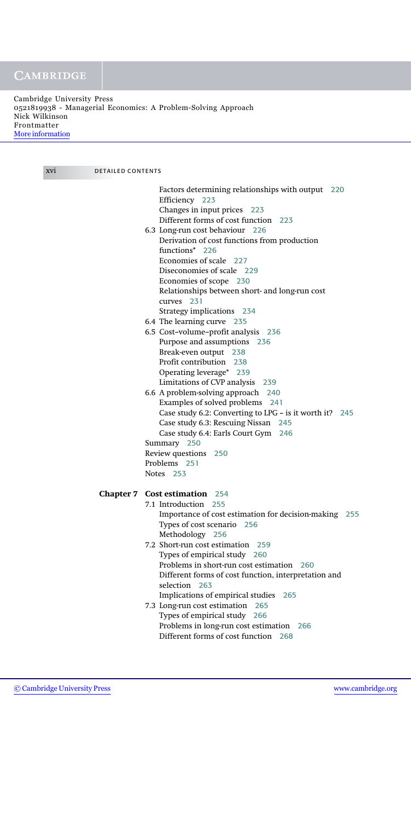Factors determining relationships with output 220 Efficiency 223 Changes in input prices 223 Different forms of cost function 223 6.3 Long-run cost behaviour 226 Derivation of cost functions from production functions\* 226 Economies of scale 227 Diseconomies of scale 229 Economies of scope 230 Relationships between short- and long-run cost curves 231 Strategy implications 234 6.4 The learning curve 235 6.5 Cost–volume–profit analysis 236 Purpose and assumptions 236 Break-even output 238 Profit contribution 238 Operating leverage\* 239 Limitations of CVP analysis 239 6.6 A problem-solving approach 240 Examples of solved problems 241 Case study 6.2: Converting to LPG – is it worth it? 245 Case study 6.3: Rescuing Nissan 245 Case study 6.4: Earls Court Gym 246 Summary 250 Review questions 250 Problems 251 Notes 253 **Chapter 7 Cost estimation** 254 7.1 Introduction 255 Importance of cost estimation for decision-making 255 Types of cost scenario 256 Methodology 256 7.2 Short-run cost estimation 259 Types of empirical study 260 Problems in short-run cost estimation 260 Different forms of cost function, interpretation and selection 263 Implications of empirical studies 265 7.3 Long-run cost estimation 265 Types of empirical study 266 Problems in long-run cost estimation 266 Different forms of cost function 268 xvi DETAILED CONTENTS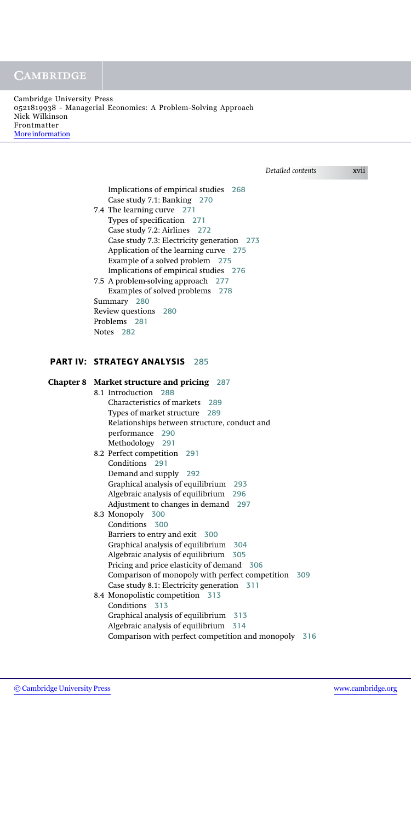### **CAMBRIDGE**

Cambridge University Press 0521819938 - Managerial Economics: A Problem-Solving Approach Nick Wilkinson Frontmatter [More information](http://www.cambridge.org/0521819938)

Detailed contents xvii

Implications of empirical studies 268 Case study 7.1: Banking 270 7.4 The learning curve 271 Types of specification 271 Case study 7.2: Airlines 272 Case study 7.3: Electricity generation 273 Application of the learning curve 275 Example of a solved problem 275 Implications of empirical studies 276 7.5 A problem-solving approach 277 Examples of solved problems 278 Summary 280 Review questions 280 Problems 281 Notes 282

### PART IV: STRATEGY ANALYSIS 285

| <b>Chapter 8 Market structure and pricing 287</b>    |
|------------------------------------------------------|
| 8.1 Introduction 288                                 |
| Characteristics of markets 289                       |
| Types of market structure 289                        |
| Relationships between structure, conduct and         |
| performance 290                                      |
| Methodology 291                                      |
| 8.2 Perfect competition 291                          |
| Conditions 291                                       |
| Demand and supply 292                                |
| Graphical analysis of equilibrium<br>293             |
| Algebraic analysis of equilibrium<br>296             |
| Adjustment to changes in demand<br>297               |
| 8.3 Monopoly 300                                     |
| Conditions 300                                       |
| Barriers to entry and exit 300                       |
| Graphical analysis of equilibrium 304                |
| Algebraic analysis of equilibrium<br>305             |
| Pricing and price elasticity of demand 306           |
| Comparison of monopoly with perfect competition 309  |
| Case study 8.1: Electricity generation 311           |
| 8.4 Monopolistic competition 313                     |
| Conditions 313                                       |
| Graphical analysis of equilibrium 313                |
| Algebraic analysis of equilibrium 314                |
| Comparison with perfect competition and monopoly 316 |
|                                                      |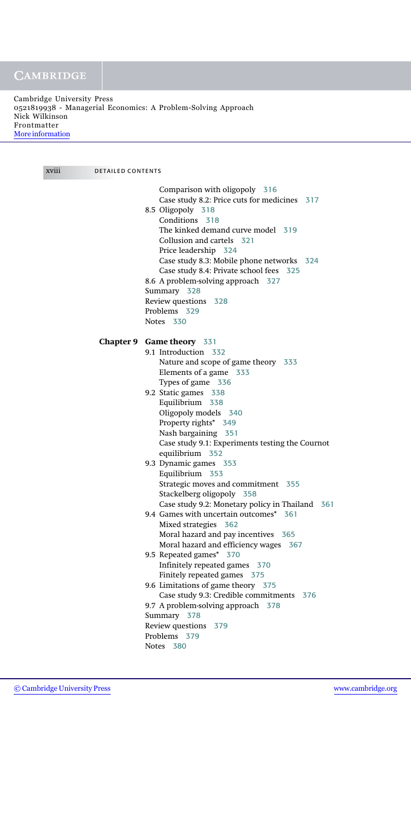> Comparison with oligopoly 316 Case study 8.2: Price cuts for medicines 317 8.5 Oligopoly 318 Conditions 318 The kinked demand curve model 319 Collusion and cartels 321 Price leadership 324 Case study 8.3: Mobile phone networks 324 Case study 8.4: Private school fees 325 8.6 A problem-solving approach 327 Summary 328 Review questions 328 Problems 329 Notes 330 Chapter 9 Game theory 331 9.1 Introduction 332 Nature and scope of game theory 333 Elements of a game 333 Types of game 336 9.2 Static games 338 Equilibrium 338 Oligopoly models 340 Property rights\* 349 Nash bargaining 351 Case study 9.1: Experiments testing the Cournot equilibrium 352 9.3 Dynamic games 353 Equilibrium 353 Strategic moves and commitment 355 Stackelberg oligopoly 358 Case study 9.2: Monetary policy in Thailand 361 9.4 Games with uncertain outcomes\* 361 Mixed strategies 362 Moral hazard and pay incentives 365 Moral hazard and efficiency wages 367 9.5 Repeated games\* 370 Infinitely repeated games 370 Finitely repeated games 375 9.6 Limitations of game theory 375 Case study 9.3: Credible commitments 376 9.7 A problem-solving approach 378 Summary 378 Review questions 379 Problems 379 Notes 380 xviii DETAILED CONTENTS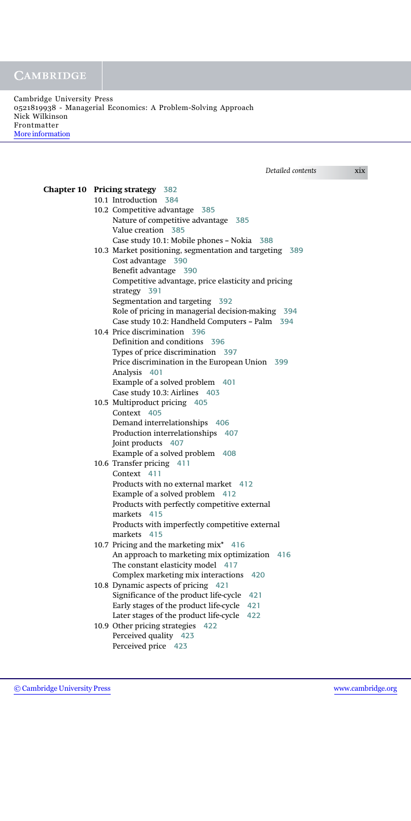Detailed contents xix

| <b>Chapter 10 Pricing strategy</b> 382                     |
|------------------------------------------------------------|
| 10.1 Introduction 384                                      |
| 10.2 Competitive advantage 385                             |
| Nature of competitive advantage 385                        |
| Value creation 385                                         |
| Case study 10.1: Mobile phones - Nokia 388                 |
| 10.3 Market positioning, segmentation and targeting<br>389 |
| Cost advantage 390                                         |
| Benefit advantage 390                                      |
| Competitive advantage, price elasticity and pricing        |
| strategy 391                                               |
| Segmentation and targeting 392                             |
| Role of pricing in managerial decision-making<br>394       |
| Case study 10.2: Handheld Computers - Palm 394             |
| 10.4 Price discrimination 396                              |
| Definition and conditions 396                              |
| Types of price discrimination 397                          |
| Price discrimination in the European Union 399             |
| Analysis 401                                               |
| Example of a solved problem 401                            |
| Case study 10.3: Airlines 403                              |
| 10.5 Multiproduct pricing 405                              |
| Context 405                                                |
|                                                            |
| Demand interrelationships 406                              |
| Production interrelationships 407                          |
| Joint products 407                                         |
| Example of a solved problem<br>408                         |
| 10.6 Transfer pricing 411                                  |
| Context 411                                                |
| Products with no external market 412                       |
| Example of a solved problem 412                            |
| Products with perfectly competitive external               |
| markets 415                                                |
| Products with imperfectly competitive external             |
| markets<br>415                                             |
| 10.7 Pricing and the marketing mix* 416                    |
| An approach to marketing mix optimization<br>416           |
| The constant elasticity model 417                          |
| Complex marketing mix interactions<br>420                  |
| 10.8 Dynamic aspects of pricing 421                        |
| Significance of the product life-cycle<br>421              |
| Early stages of the product life-cycle<br>421              |
| Later stages of the product life-cycle<br>422              |
| 10.9 Other pricing strategies<br>422                       |
| Perceived quality 423                                      |
| Perceived price 423                                        |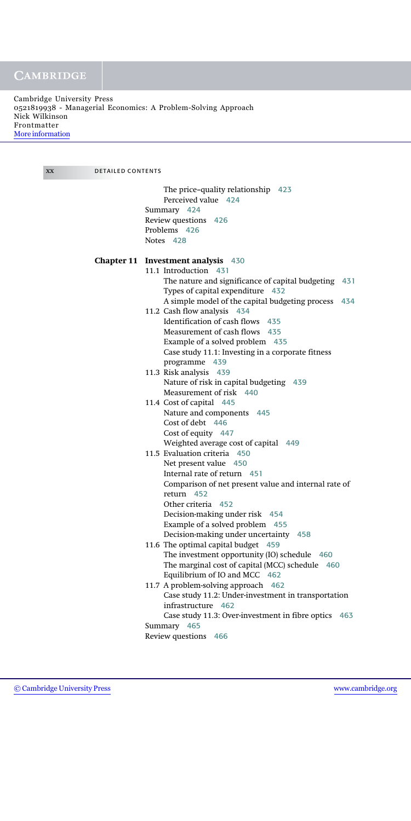The price-quality relationship 423 Perceived value 424 Summary 424 Review questions 426 Problems 426 Notes 428 Chapter 11 Investment analysis 430 11.1 Introduction 431 The nature and significance of capital budgeting 431 Types of capital expenditure 432 A simple model of the capital budgeting process 434 11.2 Cash flow analysis 434 Identification of cash flows 435 Measurement of cash flows 435 Example of a solved problem 435 Case study 11.1: Investing in a corporate fitness programme 439 11.3 Risk analysis 439 Nature of risk in capital budgeting 439 Measurement of risk 440 11.4 Cost of capital 445 Nature and components 445 Cost of debt 446 Cost of equity 447 Weighted average cost of capital 449 11.5 Evaluation criteria 450 Net present value 450 Internal rate of return 451 Comparison of net present value and internal rate of return 452 Other criteria 452 Decision-making under risk 454 Example of a solved problem 455 Decision-making under uncertainty 458 11.6 The optimal capital budget 459 The investment opportunity (IO) schedule 460 The marginal cost of capital (MCC) schedule 460 Equilibrium of IO and MCC 462 11.7 A problem-solving approach 462 Case study 11.2: Under-investment in transportation infrastructure 462 Case study 11.3: Over-investment in fibre optics 463 Summary 465 Review questions 466 xx DETAILED CONTENTS